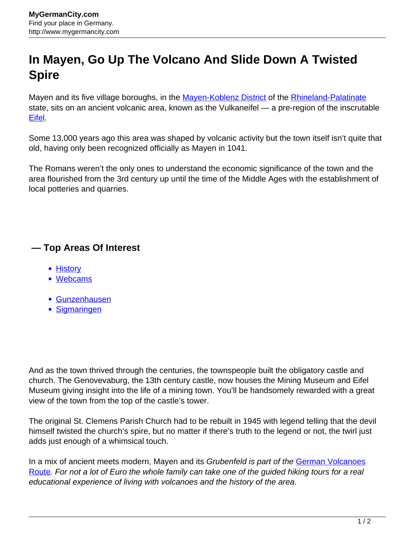## **In Mayen, Go Up The Volcano And Slide Down A Twisted Spire**

Mayen and its five village boroughs, in the [Mayen-Koblenz District](http://www.mygermancity.com/mayen-koblenz-district) of the [Rhineland-Palatinate](http://www.mygermancity.com/rhineland-palatinate) state, sits on an ancient volcanic area, known as the Vulkaneifel — a pre-region of the inscrutable [Eifel.](http://www.mygermancity.com/eifel)

Some 13,000 years ago this area was shaped by volcanic activity but the town itself isn't quite that old, having only been recognized officially as Mayen in 1041.

The Romans weren't the only ones to understand the economic significance of the town and the area flourished from the 3rd century up until the time of the Middle Ages with the establishment of local potteries and quarries.

## **— Top Areas Of Interest**

- **[History](http://www.mygermancity.com/leipzig-history)**
- [Webcams](http://www.mygermancity.com/neustadt-holstein-webcams)
- [Gunzenhausen](http://www.mygermancity.com/gunzenhausen)
- [Sigmaringen](http://www.mygermancity.com/sigmaringen)

And as the town thrived through the centuries, the townspeople built the obligatory castle and church. The Genovevaburg, the 13th century castle, now houses the Mining Museum and Eifel Museum giving insight into the life of a mining town. You'll be handsomely rewarded with a great view of the town from the top of the castle's tower.

The original St. Clemens Parish Church had to be rebuilt in 1945 with legend telling that the devil himself twisted the church's spire, but no matter if there's truth to the legend or not, the twirl just adds just enough of a whimsical touch.

In a mix of ancient meets modern, Mayen and its Grubenfeld is part of the [German Volcanoes](http://www.mygermancity.com/german-volcanoes-route) [Route](http://www.mygermancity.com/german-volcanoes-route). For not a lot of Euro the whole family can take one of the guided hiking tours for a real educational experience of living with volcanoes and the history of the area.